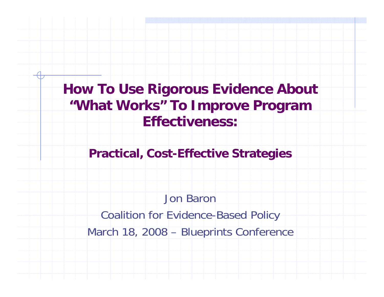**How To Use Rigorous Evidence About "What Works" To Improve Program Effectiveness:**

**Practical, Cost-Effective Strategies**

Jon BaronCoalition for Evidence-Based Policy March 18, 2008 – Blueprints Conference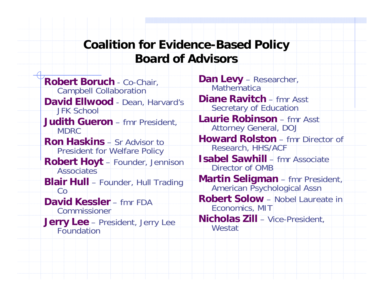#### **Coalition for Evidence-Based Policy Board of Advisors**

**Robert Boruch** - Co-Chair, Campbell Collaboration **David Ellwood** - Dean, Harvard's JFK School**Judith Gueron** – fmr President, MDRC**Ron Haskins** – Sr Advisor to President for Welfare Policy **Robert Hoyt** – Founder, Jennison **Associates Blair Hull** – Founder, Hull Trading  $C<sub>Q</sub>$ **David Kessler** – fmr FDA Commissioner**Jerry Lee** – President, Jerry Lee

**Dan Levy** – Researcher, **Mathematica Diane Ravitch** – fmr Asst Secretary of Education **Laurie Robinson** – fmr Asst Attorney General, DOJ **Howard Rolston** – fmr Director of Research, HHS/ACF **Isabel Sawhill** – fmr Associate Director of OMB**Martin Seligman** – fmr President, American Psychological Assn **Robert Solow** – Nobel Laureate in Economics, MIT **Nicholas Zill** – Vice-President, **Westat**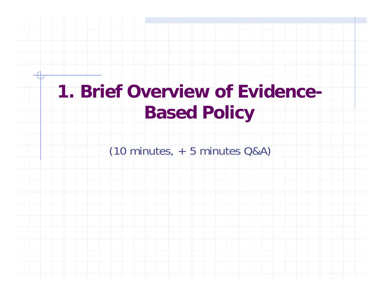# **1. Brief Overview of Evidence-Based Policy**

(10 minutes, + 5 minutes Q&A)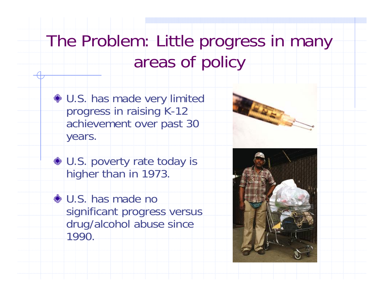# The Problem: Little progress in many areas of policy

 $\bullet$  U.S. has made very limited progress in raising K-12 achievement over past 30 years.

◆ U.S. poverty rate today is higher than in 1973.

U.S. has made no significant progress versus drug/alcohol abuse since 1990.

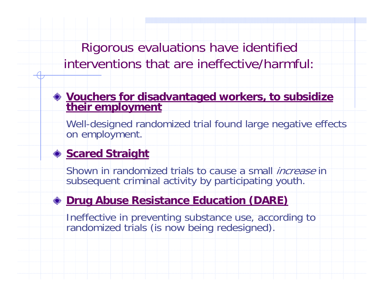Rigorous evaluations have identified interventions that are ineffective/harmful:

#### **Vouchers for disadvantaged workers, to subsidize their employment**

Well-designed randomized trial found large negative effects on employment.

#### ◆ **Scared Straight**

Shown in randomized trials to cause a small *increase* in subsequent criminal activity by participating youth.

#### **Drug Abuse Resistance Education (DARE)**

Ineffective in preventing substance use, according to randomized trials (is now being redesigned).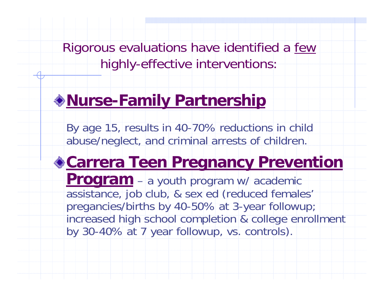Rigorous evaluations have identified a few highly-effective interventions:

### **Nurse-Family Partnership**

By age 15, results in 40-70% reductions in child abuse/neglect, and criminal arrests of children.

### **Carrera Teen Pregnancy Prevention**

**Program** – a youth program w/ academic assistance, job club, & sex ed (reduced females' pregancies/births by 40-50% at 3-year followup; increased high school completion & college enrollment by 30-40% at 7 year followup, vs. controls).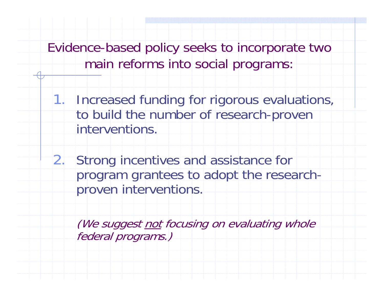Evidence-based policy seeks to incorporate two main reforms into social programs:

1. Increased funding for rigorous evaluations, to build the number of research-proven interventions.

2. Strong incentives and assistance for program grantees to adopt the researchproven interventions.

(We suggest not focusing on evaluating whole federal programs.)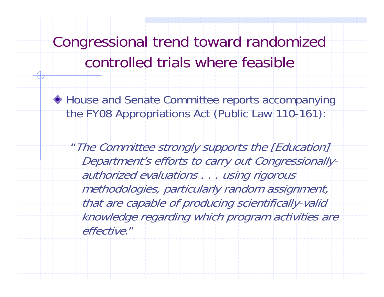Congressional trend toward randomized controlled trials where feasible

House and Senate Committee reports accompanying the FY08 Appropriations Act (Public Law 110-161):

"The Committee strongly supports the [Education] Department's efforts to carry out Congressionallyauthorized evaluations . . . using rigorous methodologies, particularly random assignment, that are capable of producing scientifically-valid knowledge regarding which program activities are effective."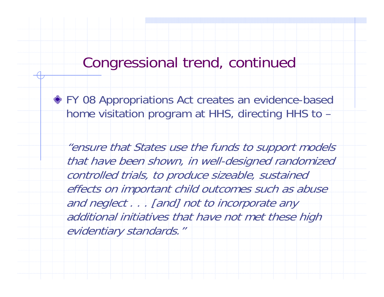### Congressional trend, continued

FY 08 Appropriations Act creates an evidence-based home visitation program at HHS, directing HHS to –

"ensure that States use the funds to support models that have been shown, in well-designed randomized controlled trials, to produce sizeable, sustained effects on important child outcomes such as abuse and neglect . . . [and] not to incorporate any additional initiatives that have not met these high evidentiary standards."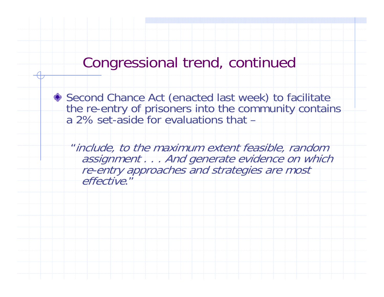### Congressional trend, continued



◆ Second Chance Act (enacted last week) to facilitate the re-entry of prisoners into the community contains a 2% set-aside for evaluations that –

"include, to the maximum extent feasible, random assignment . . . And generate evidence on which re-entry approaches and strategies are most effective."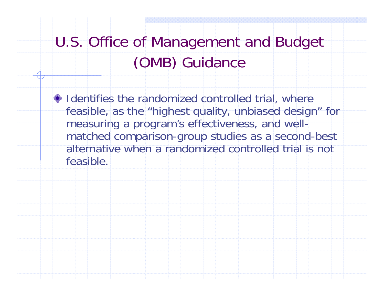## U.S. Office of Management and Budget (OMB) Guidance

 $\bullet$  Identifies the randomized controlled trial, where feasible, as the "highest quality, unbiased design" for measuring a program's effectiveness, and wellmatched comparison-group studies as a second-best alternative when a randomized controlled trial is not feasible.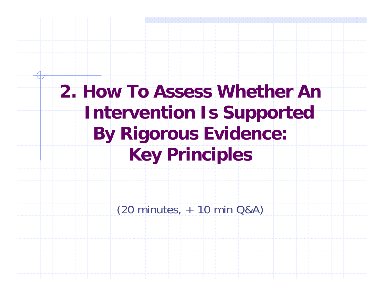**2. How To Assess Whether An Intervention Is Supported By Rigorous Evidence: Key Principles**

(20 minutes, + 10 min Q&A)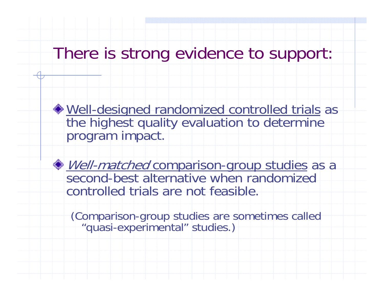### There is strong evidence to support:

Well-designed randomized controlled trials as the highest quality evaluation to determine program impact.

Well-matched comparison-group studies as a second-best alternative when randomized controlled trials are not feasible.

(Comparison-group studies are sometimes called "quasi-experimental" studies.)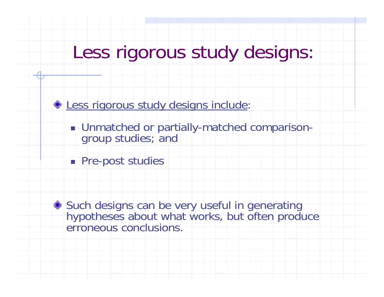# Less rigorous study designs:

**Ess rigorous study designs include:** 

- **Unmatched or partially-matched comparison**group studies; and
- **Pre-post studies**

Such designs can be very useful in generating hypotheses about what works, but often produce erroneous conclusions.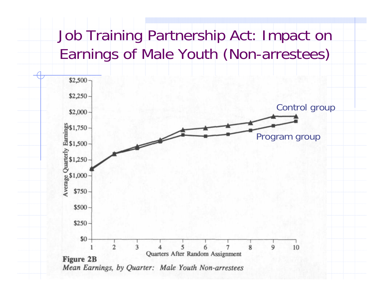## Job Training Partnership Act: Impact on Earnings of Male Youth (Non-arrestees)

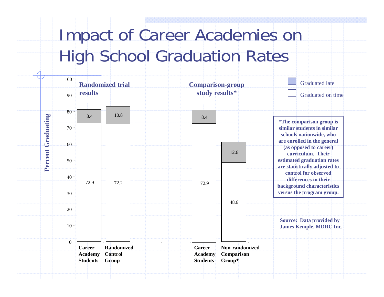# Impact of Career Academies on High School Graduation Rates

|            | $100$ $7$<br>90 <sup>1</sup> | <b>Randomized trial</b><br>results                    |      | <b>Comparison-group</b><br>study results*          |                      | <b>Graduated late</b><br>Graduated on time                        |
|------------|------------------------------|-------------------------------------------------------|------|----------------------------------------------------|----------------------|-------------------------------------------------------------------|
|            | $80 -$                       | 8.4                                                   | 10.8 | 8.4                                                |                      | *The comparison group is                                          |
| Graduating | $70 -$                       | 72.9                                                  | 72.2 |                                                    |                      | similar students in similar<br>schools nationwide, who            |
|            | $60 -$                       |                                                       |      | 72.9                                               | 12.6                 | are enrolled in the general<br>(as opposed to career)             |
|            |                              |                                                       |      |                                                    |                      | curriculum. Their                                                 |
| Percent    | $50 -$                       |                                                       |      |                                                    | 48.6                 | estimated graduation rates<br>are statistically adjusted to       |
|            | 40 <sup>°</sup>              |                                                       |      |                                                    |                      | control for observed<br>differences in their                      |
|            |                              |                                                       |      |                                                    |                      | background characteristics<br>versus the program group.           |
|            | 30 <sup>°</sup>              |                                                       |      |                                                    |                      |                                                                   |
|            | $20 -$                       |                                                       |      |                                                    |                      |                                                                   |
|            | 10 <sup>1</sup>              |                                                       |      |                                                    |                      | <b>Source:</b> Data provided by<br><b>James Kemple, MDRC Inc.</b> |
|            | $0 -$                        | <b>Career</b><br>Randomized                           |      | <b>Career</b><br><b>Academy</b><br><b>Students</b> | Non-randomized       |                                                                   |
|            |                              | Control<br><b>Academy</b><br><b>Students</b><br>Group |      |                                                    | Comparison<br>Group* |                                                                   |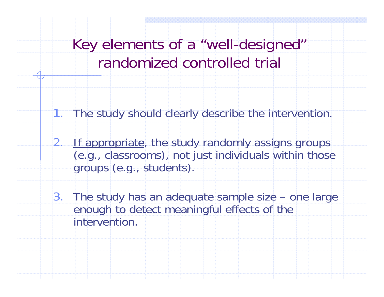- 1. The study should clearly describe the intervention.
- 2. If appropriate, the study randomly assigns groups (e.g., classrooms), not just individuals within those groups (e.g., students).
- 3. The study has an adequate sample size one large enough to detect meaningful effects of the intervention.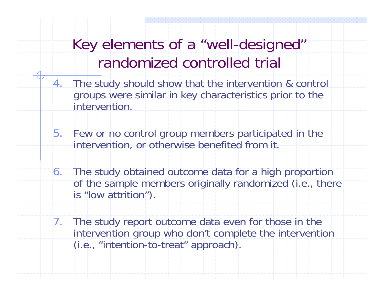- 4. The study should show that the intervention & control groups were similar in key characteristics prior to the intervention.
- 5. Few or no control group members participated in the intervention, or otherwise benefited from it.
- 6. The study obtained outcome data for a high proportion of the sample members originally randomized (i.e., there is "low attrition").
- 7. The study report outcome data even for those in the intervention group who don't complete the intervention (i.e., "intention-to-treat" approach).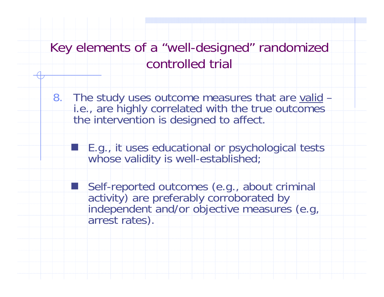8. The study uses outcome measures that are valid – i.e., are highly correlated with the true outcomes the intervention is designed to affect.

 $\mathbb{R}^2$ 

F.

 E.g., it uses educational or psychological tests whose validity is well-established;

Self-reported outcomes (e.g., about criminal activity) are preferably corroborated by independent and/or objective measures (e.g, arrest rates).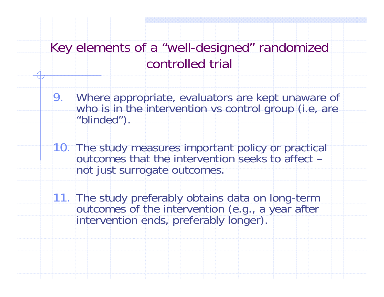- 9. Where appropriate, evaluators are kept unaware of who is in the intervention vs control group (i.e, are "blinded").
- 10. The study measures important policy or practical outcomes that the intervention seeks to affect – not just surrogate outcomes.
- 11. The study preferably obtains data on long-term<br>outcomes of the intervention (e.g., a year after<br>intervention ends, preferably longer).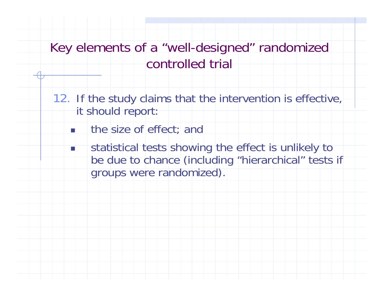- 12. If the study claims that the intervention is effective, it should report:
	- П the size of effect; and
	- $\sim$  statistical tests showing the effect is unlikely to be due to chance (including "hierarchical" tests if groups were randomized).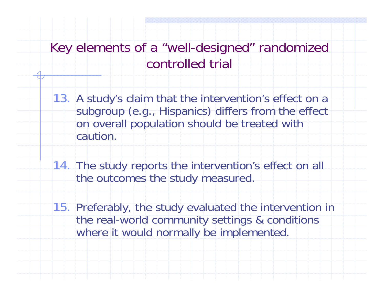13. A study's claim that the intervention's effect on a subgroup (e.g., Hispanics) differs from the effect on overall population should be treated with caution.

14. The study reports the intervention's effect on all the outcomes the study measured.

15. Preferably, the study evaluated the intervention in the real-world community settings & conditions where it would normally be implemented.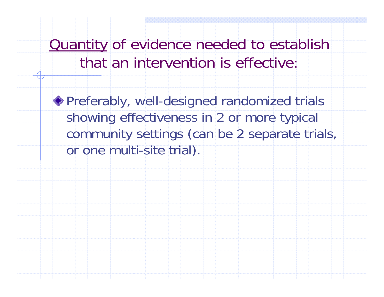Quantity of evidence needed to establish that an intervention is effective:

Preferably, well-designed randomized trials showing effectiveness in 2 or more typical community settings (can be 2 separate trials, or one multi-site trial).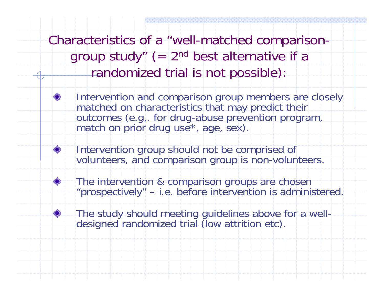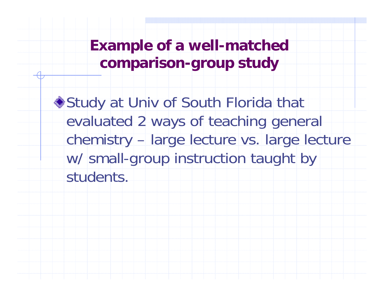**Example of a well-matched comparison-group study**

◆ Study at Univ of South Florida that evaluated 2 ways of teaching general chemistry – large lecture vs. large lecture w/ small-group instruction taught by students.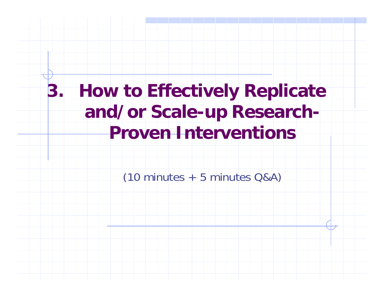## **3. How to Effectively Replicate and/or Scale-up Research-Proven Interventions**

 $(10 \text{ minutes} + 5 \text{ minutes} \text{ Q} \& \text{A})$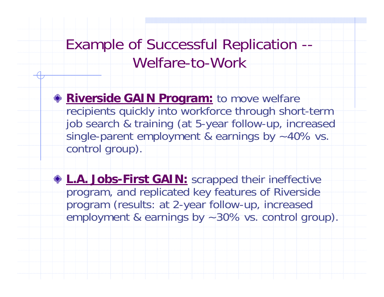### Example of Successful Replication -- Welfare-to-Work

**Riverside GAIN Program:** to move welfare recipients quickly into workforce through short-term job search & training (at 5-year follow-up, increased single-parent employment & earnings by ~40% vs. control group).

**L.A. Jobs-First GAIN:** scrapped their ineffective program, and replicated key features of Riverside program (results: at 2-year follow-up, increased employment & earnings by ~30% vs. control group).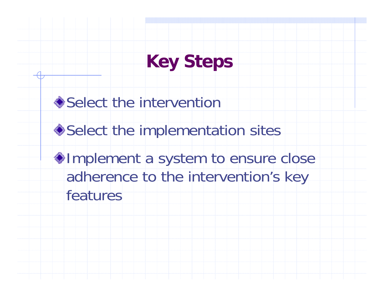# **Key Steps**

**◆Select the intervention** 

◆ Select the implementation sites

 $\bullet$  Implement a system to ensure close adherence to the intervention's key features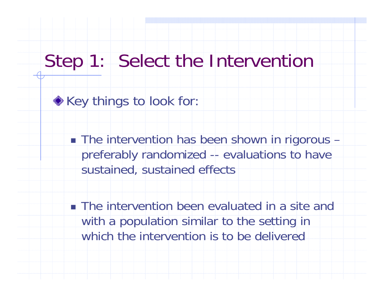## Step 1: Select the Intervention

**Key things to look for:** 

■ The intervention has been shown in rigorous – preferably randomized -- evaluations to have sustained, sustained effects

**The intervention been evaluated in a site and** with a population similar to the setting in which the intervention is to be delivered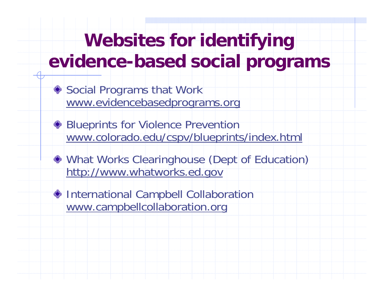# **Websites for identifying evidence-based social programs**

- ◆ Social Programs that Work www.evidencebasedprograms.org
- Blueprints for Violence Prevention www.colorado.edu/cspv/blueprints/index.html
- What Works Clearinghouse (Dept of Education) http://www.whatworks.ed.gov
- International Campbell Collaboration www.campbellcollaboration.org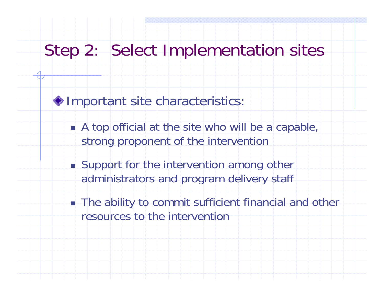### Step 2: Select Implementation sites

 $\bigcirc$  Important site characteristics:

- **A top official at the site who will be a capable,** strong proponent of the intervention
- **Support for the intervention among other** administrators and program delivery staff
- The ability to commit sufficient financial and other resources to the intervention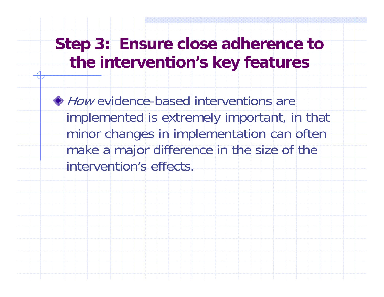### **Step 3: Ensure close adherence to the intervention's key features**

How evidence-based interventions are implemented is extremely important, in that minor changes in implementation can often make a major difference in the size of the intervention's effects.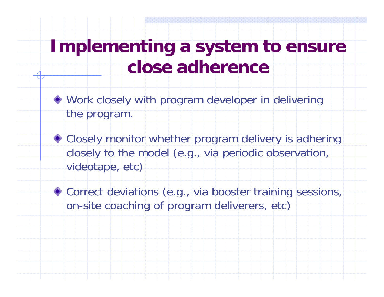## **Implementing a system to ensure close adherence**

- Work closely with program developer in delivering the program.
- ◆ Closely monitor whether program delivery is adhering closely to the model (e.g., via periodic observation, videotape, etc)
- ◆ Correct deviations (e.g., via booster training sessions, on-site coaching of program deliverers, etc)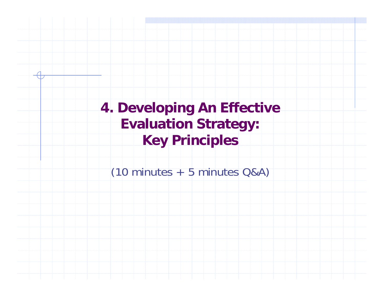**4. Developing An Effective Evaluation Strategy: Key Principles**  $(10 \text{ minutes} + 5 \text{ minutes} \text{ Q} \& \text{A})$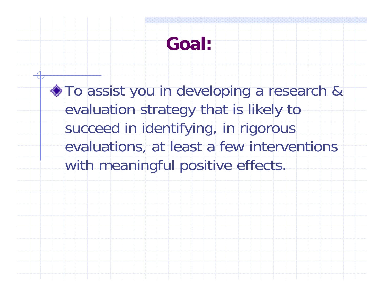## **Goal:**

 $\bullet$  To assist you in developing a research & evaluation strategy that is likely to succeed in identifying, in rigorous evaluations, at least a few interventions with meaningful positive effects.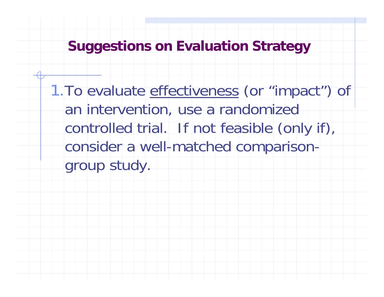**Suggestions on Evaluation Strategy**

1. To evaluate effectiveness (or "impact") of an intervention, use a randomized controlled trial. If not feasible (only if), consider a well-matched comparisongroup study.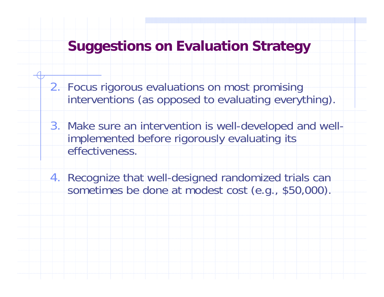#### **Suggestions on Evaluation Strategy**

- 2. Focus rigorous evaluations on most promising interventions (as opposed to evaluating everything).
- 3. Make sure an intervention is well-developed and wellimplemented before rigorously evaluating its effectiveness.
- 4. Recognize that well-designed randomized trials can sometimes be done at modest cost (e.g., \$50,000).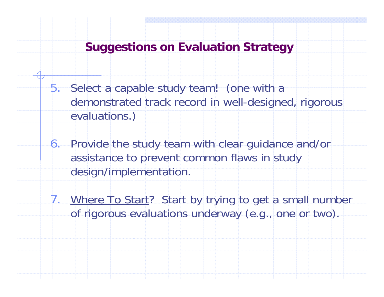#### **Suggestions on Evaluation Strategy**

- 5. Select a capable study team! (one with a demonstrated track record in well-designed, rigorous evaluations.)
- 6. Provide the study team with clear guidance and/or assistance to prevent common flaws in study design/implementation.
- 7. Where To Start? Start by trying to get a small number of rigorous evaluations underway (e.g., one or two).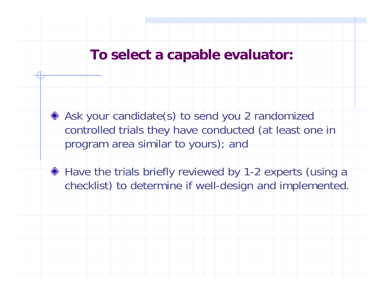#### **To select a capable evaluator:**

Ask your candidate(s) to send you 2 randomized controlled trials they have conducted (at least one in program area similar to yours); and

◆ Have the trials briefly reviewed by 1-2 experts (using a checklist) to determine if well-design and implemented.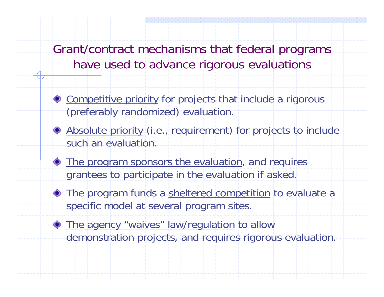Grant/contract mechanisms that federal programs have used to advance rigorous evaluations

- ◆ Competitive priority for projects that include a rigorous (preferably randomized) evaluation.
- Absolute priority (i.e., requirement) for projects to include such an evaluation.
- $\bullet$  The program sponsors the evaluation, and requires grantees to participate in the evaluation if asked.
- The program funds a sheltered competition to evaluate a specific model at several program sites.
- **The agency "waives" law/regulation to allow** demonstration projects, and requires rigorous evaluation.